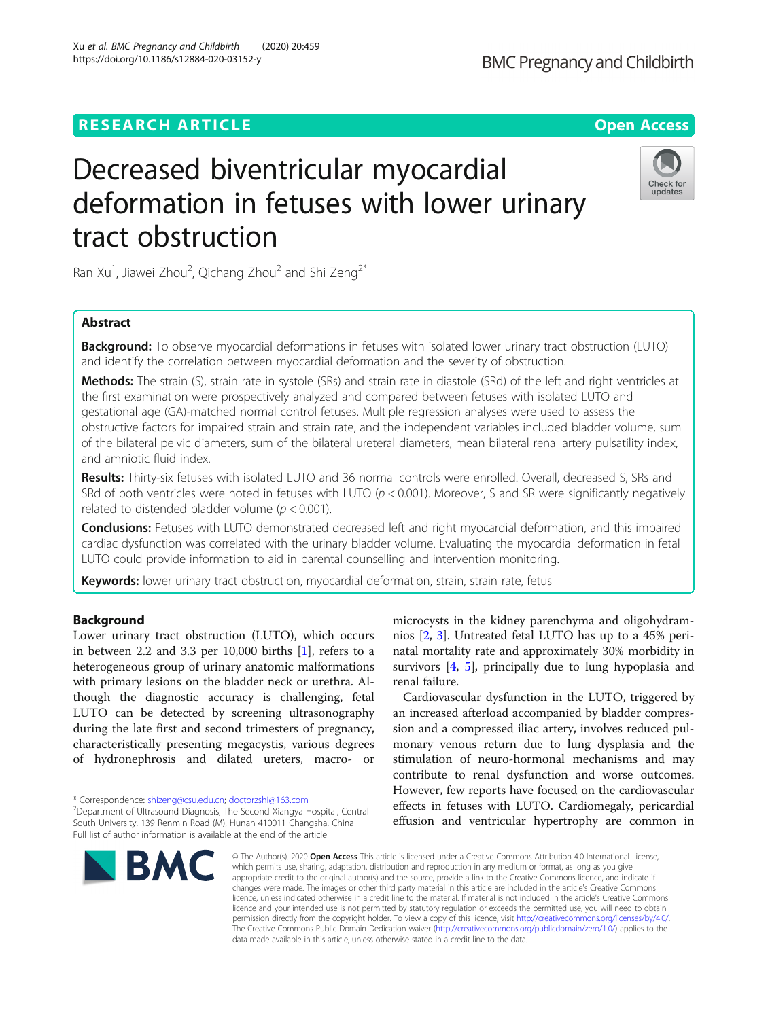# Decreased biventricular myocardial deformation in fetuses with lower urinary tract obstruction

Ran Xu<sup>1</sup>, Jiawei Zhou<sup>2</sup>, Qichang Zhou<sup>2</sup> and Shi Zeng<sup>2\*</sup>

# Abstract

**Background:** To observe myocardial deformations in fetuses with isolated lower urinary tract obstruction (LUTO) and identify the correlation between myocardial deformation and the severity of obstruction.

Methods: The strain (S), strain rate in systole (SRs) and strain rate in diastole (SRd) of the left and right ventricles at the first examination were prospectively analyzed and compared between fetuses with isolated LUTO and gestational age (GA)-matched normal control fetuses. Multiple regression analyses were used to assess the obstructive factors for impaired strain and strain rate, and the independent variables included bladder volume, sum of the bilateral pelvic diameters, sum of the bilateral ureteral diameters, mean bilateral renal artery pulsatility index, and amniotic fluid index.

Results: Thirty-six fetuses with isolated LUTO and 36 normal controls were enrolled. Overall, decreased S, SRs and SRd of both ventricles were noted in fetuses with LUTO ( $p < 0.001$ ). Moreover, S and SR were significantly negatively related to distended bladder volume ( $p < 0.001$ ).

Conclusions: Fetuses with LUTO demonstrated decreased left and right myocardial deformation, and this impaired cardiac dysfunction was correlated with the urinary bladder volume. Evaluating the myocardial deformation in fetal LUTO could provide information to aid in parental counselling and intervention monitoring.

Keywords: lower urinary tract obstruction, myocardial deformation, strain, strain rate, fetus

# Background

Lower urinary tract obstruction (LUTO), which occurs in between 2.2 and 3.3 per 10,000 births  $[1]$  $[1]$ , refers to a heterogeneous group of urinary anatomic malformations with primary lesions on the bladder neck or urethra. Although the diagnostic accuracy is challenging, fetal LUTO can be detected by screening ultrasonography during the late first and second trimesters of pregnancy, characteristically presenting megacystis, various degrees of hydronephrosis and dilated ureters, macro- or

\* Correspondence: [shizeng@csu.edu.cn](mailto:shizeng@csu.edu.cn); [doctorzshi@163.com](mailto:doctorzshi@163.com) <sup>2</sup>

<sup>2</sup>Department of Ultrasound Diagnosis, The Second Xiangya Hospital, Central South University, 139 Renmin Road (M), Hunan 410011 Changsha, China Full list of author information is available at the end of the article

an increased afterload accompanied by bladder compression and a compressed iliac artery, involves reduced pulmonary venous return due to lung dysplasia and the stimulation of neuro-hormonal mechanisms and may

renal failure.

contribute to renal dysfunction and worse outcomes. However, few reports have focused on the cardiovascular effects in fetuses with LUTO. Cardiomegaly, pericardial effusion and ventricular hypertrophy are common in

microcysts in the kidney parenchyma and oligohydramnios [\[2](#page-5-0), [3\]](#page-5-0). Untreated fetal LUTO has up to a 45% perinatal mortality rate and approximately 30% morbidity in survivors [\[4,](#page-5-0) [5](#page-5-0)], principally due to lung hypoplasia and

Cardiovascular dysfunction in the LUTO, triggered by

© The Author(s), 2020 **Open Access** This article is licensed under a Creative Commons Attribution 4.0 International License, which permits use, sharing, adaptation, distribution and reproduction in any medium or format, as long as you give appropriate credit to the original author(s) and the source, provide a link to the Creative Commons licence, and indicate if changes were made. The images or other third party material in this article are included in the article's Creative Commons licence, unless indicated otherwise in a credit line to the material. If material is not included in the article's Creative Commons licence and your intended use is not permitted by statutory regulation or exceeds the permitted use, you will need to obtain permission directly from the copyright holder. To view a copy of this licence, visit [http://creativecommons.org/licenses/by/4.0/.](http://creativecommons.org/licenses/by/4.0/) The Creative Commons Public Domain Dedication waiver [\(http://creativecommons.org/publicdomain/zero/1.0/](http://creativecommons.org/publicdomain/zero/1.0/)) applies to the data made available in this article, unless otherwise stated in a credit line to the data.

**BMC** 



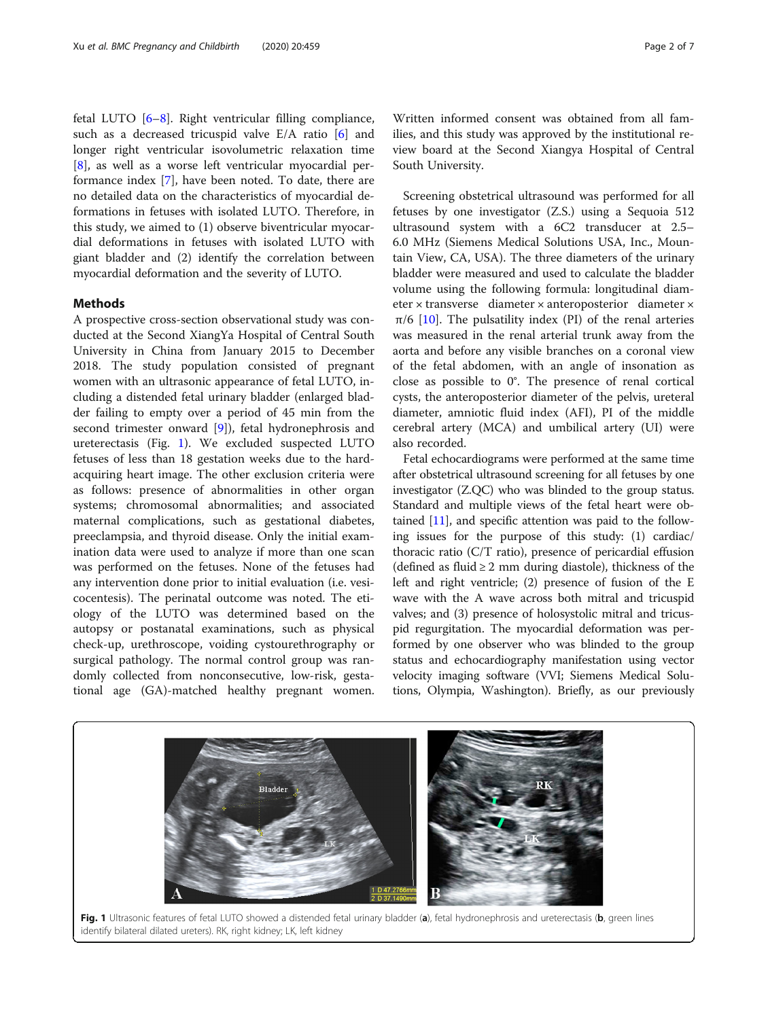fetal LUTO [\[6](#page-5-0)–[8](#page-5-0)]. Right ventricular filling compliance, such as a decreased tricuspid valve E/A ratio [\[6](#page-5-0)] and longer right ventricular isovolumetric relaxation time [[8\]](#page-5-0), as well as a worse left ventricular myocardial performance index [[7\]](#page-5-0), have been noted. To date, there are no detailed data on the characteristics of myocardial deformations in fetuses with isolated LUTO. Therefore, in this study, we aimed to (1) observe biventricular myocardial deformations in fetuses with isolated LUTO with giant bladder and (2) identify the correlation between myocardial deformation and the severity of LUTO.

#### Methods

A prospective cross-section observational study was conducted at the Second XiangYa Hospital of Central South University in China from January 2015 to December 2018. The study population consisted of pregnant women with an ultrasonic appearance of fetal LUTO, including a distended fetal urinary bladder (enlarged bladder failing to empty over a period of 45 min from the second trimester onward [[9\]](#page-5-0)), fetal hydronephrosis and ureterectasis (Fig. 1). We excluded suspected LUTO fetuses of less than 18 gestation weeks due to the hardacquiring heart image. The other exclusion criteria were as follows: presence of abnormalities in other organ systems; chromosomal abnormalities; and associated maternal complications, such as gestational diabetes, preeclampsia, and thyroid disease. Only the initial examination data were used to analyze if more than one scan was performed on the fetuses. None of the fetuses had any intervention done prior to initial evaluation (i.e. vesicocentesis). The perinatal outcome was noted. The etiology of the LUTO was determined based on the autopsy or postanatal examinations, such as physical check-up, urethroscope, voiding cystourethrography or surgical pathology. The normal control group was randomly collected from nonconsecutive, low-risk, gestational age (GA)-matched healthy pregnant women.

Written informed consent was obtained from all families, and this study was approved by the institutional review board at the Second Xiangya Hospital of Central South University.

Screening obstetrical ultrasound was performed for all fetuses by one investigator (Z.S.) using a Sequoia 512 ultrasound system with a 6C2 transducer at 2.5– 6.0 MHz (Siemens Medical Solutions USA, Inc., Mountain View, CA, USA). The three diameters of the urinary bladder were measured and used to calculate the bladder volume using the following formula: longitudinal diameter × transverse diameter × anteroposterior diameter ×  $π/6$  [[10\]](#page-5-0). The pulsatility index (PI) of the renal arteries was measured in the renal arterial trunk away from the aorta and before any visible branches on a coronal view of the fetal abdomen, with an angle of insonation as close as possible to 0°. The presence of renal cortical cysts, the anteroposterior diameter of the pelvis, ureteral diameter, amniotic fluid index (AFI), PI of the middle cerebral artery (MCA) and umbilical artery (UI) were also recorded.

Fetal echocardiograms were performed at the same time after obstetrical ultrasound screening for all fetuses by one investigator (Z.QC) who was blinded to the group status. Standard and multiple views of the fetal heart were obtained  $[11]$  $[11]$  $[11]$ , and specific attention was paid to the following issues for the purpose of this study: (1) cardiac/ thoracic ratio (C/T ratio), presence of pericardial effusion (defined as fluid  $\geq 2$  mm during diastole), thickness of the left and right ventricle; (2) presence of fusion of the E wave with the A wave across both mitral and tricuspid valves; and (3) presence of holosystolic mitral and tricuspid regurgitation. The myocardial deformation was performed by one observer who was blinded to the group status and echocardiography manifestation using vector velocity imaging software (VVI; Siemens Medical Solutions, Olympia, Washington). Briefly, as our previously



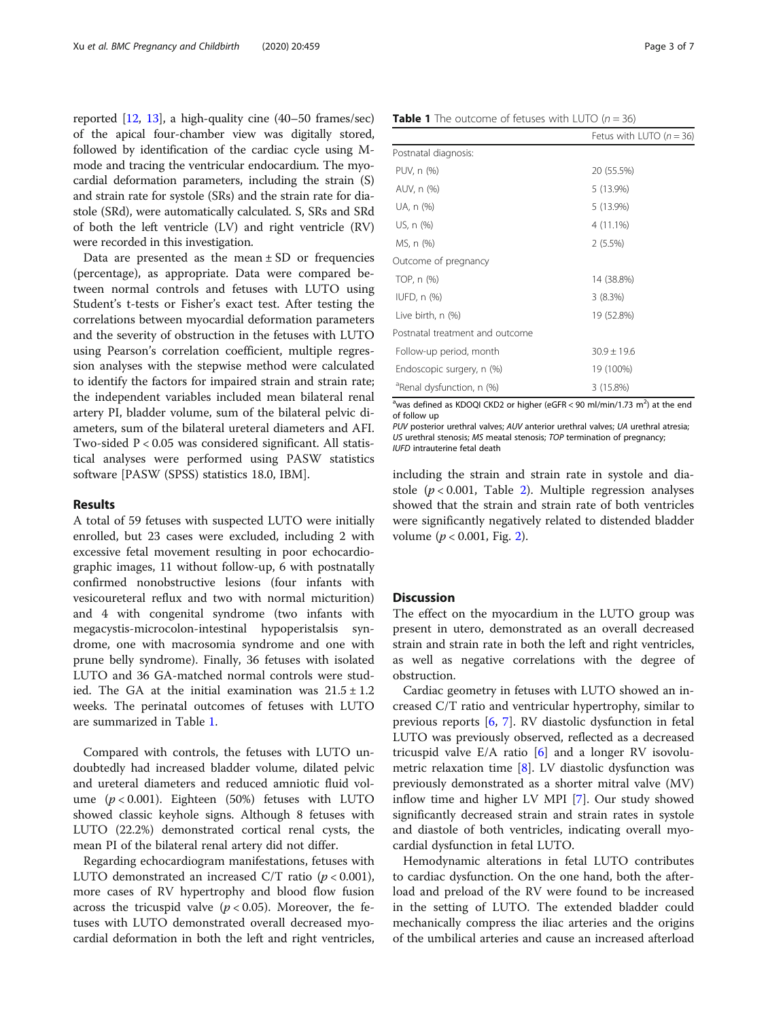reported [[12](#page-5-0), [13](#page-5-0)], a high-quality cine (40–50 frames/sec) of the apical four-chamber view was digitally stored, followed by identification of the cardiac cycle using Mmode and tracing the ventricular endocardium. The myocardial deformation parameters, including the strain (S) and strain rate for systole (SRs) and the strain rate for diastole (SRd), were automatically calculated. S, SRs and SRd of both the left ventricle (LV) and right ventricle (RV) were recorded in this investigation.

Data are presented as the mean  $\pm$  SD or frequencies (percentage), as appropriate. Data were compared between normal controls and fetuses with LUTO using Student's t-tests or Fisher's exact test. After testing the correlations between myocardial deformation parameters and the severity of obstruction in the fetuses with LUTO using Pearson's correlation coefficient, multiple regression analyses with the stepwise method were calculated to identify the factors for impaired strain and strain rate; the independent variables included mean bilateral renal artery PI, bladder volume, sum of the bilateral pelvic diameters, sum of the bilateral ureteral diameters and AFI. Two-sided P < 0.05 was considered significant. All statistical analyses were performed using PASW statistics software [PASW (SPSS) statistics 18.0, IBM].

# Results

A total of 59 fetuses with suspected LUTO were initially enrolled, but 23 cases were excluded, including 2 with excessive fetal movement resulting in poor echocardiographic images, 11 without follow-up, 6 with postnatally confirmed nonobstructive lesions (four infants with vesicoureteral reflux and two with normal micturition) and 4 with congenital syndrome (two infants with megacystis-microcolon-intestinal hypoperistalsis syndrome, one with macrosomia syndrome and one with prune belly syndrome). Finally, 36 fetuses with isolated LUTO and 36 GA-matched normal controls were studied. The GA at the initial examination was  $21.5 \pm 1.2$ weeks. The perinatal outcomes of fetuses with LUTO are summarized in Table 1.

Compared with controls, the fetuses with LUTO undoubtedly had increased bladder volume, dilated pelvic and ureteral diameters and reduced amniotic fluid volume  $(p < 0.001)$ . Eighteen (50%) fetuses with LUTO showed classic keyhole signs. Although 8 fetuses with LUTO (22.2%) demonstrated cortical renal cysts, the mean PI of the bilateral renal artery did not differ.

Regarding echocardiogram manifestations, fetuses with LUTO demonstrated an increased C/T ratio ( $p < 0.001$ ), more cases of RV hypertrophy and blood flow fusion across the tricuspid valve ( $p < 0.05$ ). Moreover, the fetuses with LUTO demonstrated overall decreased myocardial deformation in both the left and right ventricles,

| Postnatal diagnosis:                  |                 |
|---------------------------------------|-----------------|
| PUV, n (%)                            | 20 (55.5%)      |
| AUV, n (%)                            | 5 (13.9%)       |
| UA, n (%)                             | 5 (13.9%)       |
| US, n (%)                             | 4 (11.1%)       |
| MS, n (%)                             | 2(5.5%)         |
| Outcome of pregnancy                  |                 |
| TOP, n (%)                            | 14 (38.8%)      |
| IUFD, $n$ $(\%)$                      | 3(8.3%)         |
| Live birth, n (%)                     | 19 (52.8%)      |
| Postnatal treatment and outcome       |                 |
| Follow-up period, month               | $30.9 \pm 19.6$ |
| Endoscopic surgery, n (%)             | 19 (100%)       |
| <sup>a</sup> Renal dysfunction, n (%) | 3 (15.8%)       |

<sup>a</sup>was defined as KDOQI CKD2 or higher (eGFR < 90 ml/min/1.73 m<sup>2</sup>) at the end of follow up

PUV posterior urethral valves; AUV anterior urethral valves; UA urethral atresia; US urethral stenosis; MS meatal stenosis; TOP termination of pregnancy; IUFD intrauterine fetal death

including the strain and strain rate in systole and diastole  $(p < 0.001$ , Table [2](#page-3-0)). Multiple regression analyses showed that the strain and strain rate of both ventricles were significantly negatively related to distended bladder volume ( $p < 0.001$ , Fig. [2](#page-4-0)).

# **Discussion**

The effect on the myocardium in the LUTO group was present in utero, demonstrated as an overall decreased strain and strain rate in both the left and right ventricles, as well as negative correlations with the degree of obstruction.

Cardiac geometry in fetuses with LUTO showed an increased C/T ratio and ventricular hypertrophy, similar to previous reports [\[6,](#page-5-0) [7\]](#page-5-0). RV diastolic dysfunction in fetal LUTO was previously observed, reflected as a decreased tricuspid valve  $E/A$  ratio  $[6]$  $[6]$  and a longer RV isovolumetric relaxation time [\[8](#page-5-0)]. LV diastolic dysfunction was previously demonstrated as a shorter mitral valve (MV) inflow time and higher LV MPI [\[7\]](#page-5-0). Our study showed significantly decreased strain and strain rates in systole and diastole of both ventricles, indicating overall myocardial dysfunction in fetal LUTO.

Hemodynamic alterations in fetal LUTO contributes to cardiac dysfunction. On the one hand, both the afterload and preload of the RV were found to be increased in the setting of LUTO. The extended bladder could mechanically compress the iliac arteries and the origins of the umbilical arteries and cause an increased afterload

Fetus with LUTO  $(n = 36)$ 

|  | <b>Table 1</b> The outcome of fetuses with LUTO $(n = 36)$ |  |  |  |
|--|------------------------------------------------------------|--|--|--|
|--|------------------------------------------------------------|--|--|--|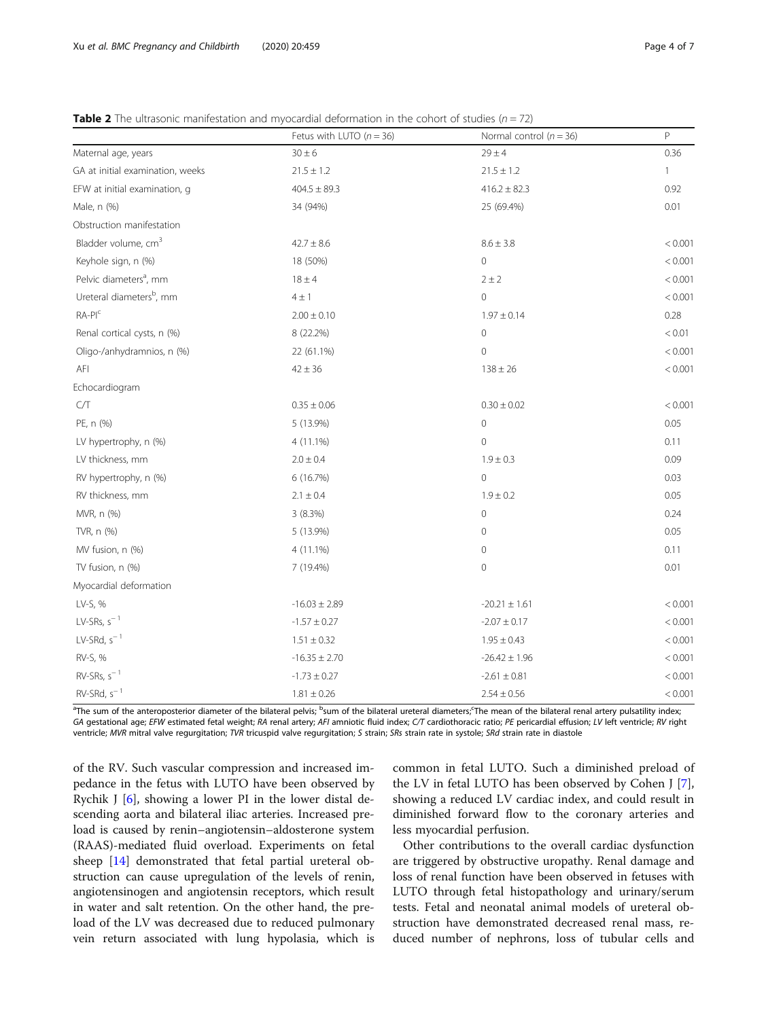<span id="page-3-0"></span>

| <b>Table 2</b> The ultrasonic manifestation and myocardial deformation in the cohort of studies ( $n = 72$ ) |  |
|--------------------------------------------------------------------------------------------------------------|--|
|--------------------------------------------------------------------------------------------------------------|--|

|                                      | Fetus with LUTO ( $n = 36$ ) | Normal control ( $n = 36$ ) | $\mathsf P$  |
|--------------------------------------|------------------------------|-----------------------------|--------------|
| Maternal age, years                  | $30 \pm 6$                   | $29 \pm 4$                  | 0.36         |
| GA at initial examination, weeks     | $21.5 \pm 1.2$               | $21.5 \pm 1.2$              | $\mathbf{1}$ |
| EFW at initial examination, q        | $404.5 \pm 89.3$             | $416.2 \pm 82.3$            | 0.92         |
| Male, n (%)                          | 34 (94%)                     | 25 (69.4%)                  | 0.01         |
| Obstruction manifestation            |                              |                             |              |
| Bladder volume, cm <sup>3</sup>      | $42.7 \pm 8.6$               | $8.6 \pm 3.8$               | < 0.001      |
| Keyhole sign, n (%)                  | 18 (50%)                     | $\overline{0}$              | < 0.001      |
| Pelvic diameters <sup>a</sup> , mm   | $18 \pm 4$                   | $2 \pm 2$                   | < 0.001      |
| Ureteral diameters <sup>b</sup> , mm | $4 \pm 1$                    | $\mathbf 0$                 | < 0.001      |
| $RA-PIc$                             | $2.00 \pm 0.10$              | $1.97 \pm 0.14$             | 0.28         |
| Renal cortical cysts, n (%)          | 8 (22.2%)                    | $\mathbf 0$                 | < 0.01       |
| Oligo-/anhydramnios, n (%)           | 22 (61.1%)                   | $\mathsf{O}\xspace$         | < 0.001      |
| AFI                                  | $42 \pm 36$                  | $138 \pm 26$                | < 0.001      |
| Echocardiogram                       |                              |                             |              |
| C/T                                  | $0.35 \pm 0.06$              | $0.30 \pm 0.02$             | < 0.001      |
| PE, n (%)                            | 5 (13.9%)                    | $\mathbf 0$                 | 0.05         |
| LV hypertrophy, n (%)                | 4 (11.1%)                    | $\overline{0}$              | 0.11         |
| LV thickness, mm                     | $2.0 \pm 0.4$                | $1.9 \pm 0.3$               | 0.09         |
| RV hypertrophy, n (%)                | 6 (16.7%)                    | $\Omega$                    | 0.03         |
| RV thickness, mm                     | $2.1 \pm 0.4$                | $1.9 \pm 0.2$               | 0.05         |
| MVR, n (%)                           | 3 (8.3%)                     | $\mathbf 0$                 | 0.24         |
| TVR, n (%)                           | 5 (13.9%)                    | $\mathbf 0$                 | 0.05         |
| MV fusion, n (%)                     | 4 (11.1%)                    | $\overline{0}$              | 0.11         |
| TV fusion, n (%)                     | 7 (19.4%)                    | $\mathbf 0$                 | 0.01         |
| Myocardial deformation               |                              |                             |              |
| LV-S, %                              | $-16.03 \pm 2.89$            | $-20.21 \pm 1.61$           | < 0.001      |
| $LV$ -SRs, s <sup>-1</sup>           | $-1.57 \pm 0.27$             | $-2.07 \pm 0.17$            | < 0.001      |
| LV-SRd, $s^{-1}$                     | $1.51\pm0.32$                | $1.95 \pm 0.43$             | < 0.001      |
| RV-S, %                              | $-16.35 \pm 2.70$            | $-26.42 \pm 1.96$           | < 0.001      |
| $RV-SRs, s-1$                        | $-1.73 \pm 0.27$             | $-2.61 \pm 0.81$            | < 0.001      |
| $RV-SRd, s-1$                        | $1.81\pm0.26$                | $2.54 \pm 0.56$             | < 0.001      |

<sup>a</sup>The sum of the anteroposterior diameter of the bilateral pelvis; <sup>b</sup>sum of the bilateral ureteral diameters;<sup>c</sup>The mean of the bilateral renal artery pulsatility index; GA gestational age; EFW estimated fetal weight; RA renal artery; AFI amniotic fluid index; C/T cardiothoracic ratio; PE pericardial effusion; LV left ventricle; RV right ventricle; MVR mitral valve regurgitation; TVR tricuspid valve regurgitation; S strain; SRs strain rate in systole; SRd strain rate in diastole

of the RV. Such vascular compression and increased impedance in the fetus with LUTO have been observed by Rychik J [\[6](#page-5-0)], showing a lower PI in the lower distal descending aorta and bilateral iliac arteries. Increased preload is caused by renin–angiotensin–aldosterone system (RAAS)‑mediated fluid overload. Experiments on fetal sheep [[14\]](#page-5-0) demonstrated that fetal partial ureteral obstruction can cause upregulation of the levels of renin, angiotensinogen and angiotensin receptors, which result in water and salt retention. On the other hand, the preload of the LV was decreased due to reduced pulmonary vein return associated with lung hypolasia, which is

common in fetal LUTO. Such a diminished preload of the LV in fetal LUTO has been observed by Cohen J [\[7](#page-5-0)], showing a reduced LV cardiac index, and could result in diminished forward flow to the coronary arteries and less myocardial perfusion.

Other contributions to the overall cardiac dysfunction are triggered by obstructive uropathy. Renal damage and loss of renal function have been observed in fetuses with LUTO through fetal histopathology and urinary/serum tests. Fetal and neonatal animal models of ureteral obstruction have demonstrated decreased renal mass, reduced number of nephrons, loss of tubular cells and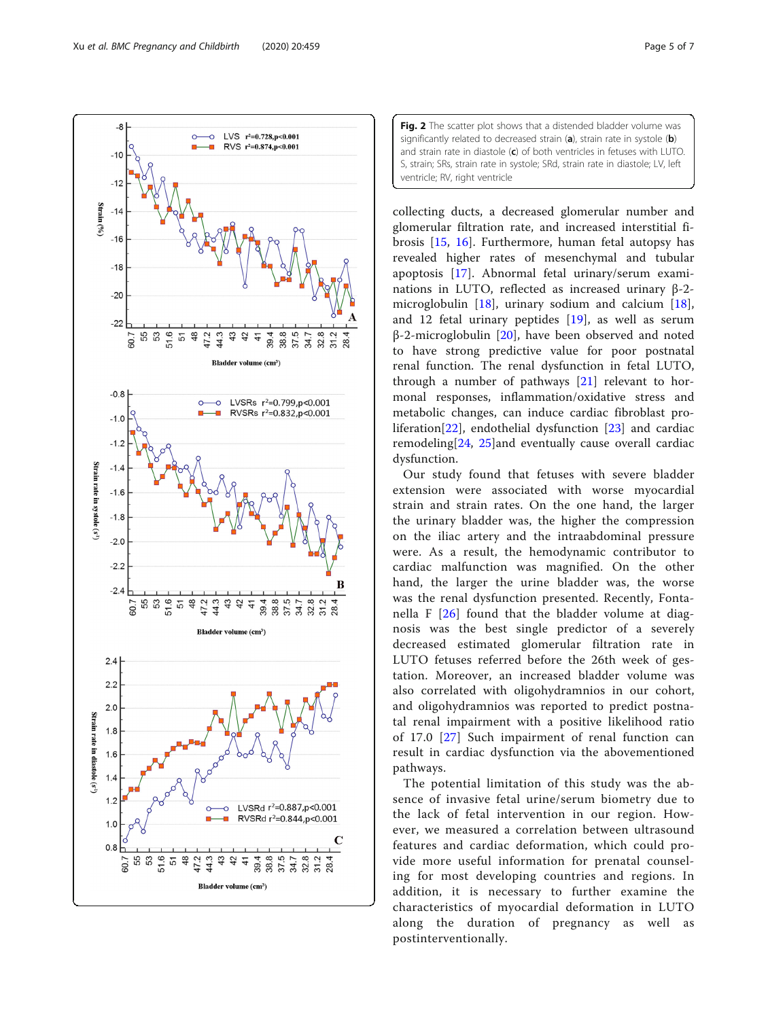<span id="page-4-0"></span>



collecting ducts, a decreased glomerular number and glomerular filtration rate, and increased interstitial fibrosis [[15,](#page-5-0) [16](#page-5-0)]. Furthermore, human fetal autopsy has revealed higher rates of mesenchymal and tubular apoptosis [[17\]](#page-5-0). Abnormal fetal urinary/serum examinations in LUTO, reflected as increased urinary β-2 microglobulin [\[18](#page-5-0)], urinary sodium and calcium [\[18](#page-5-0)], and 12 fetal urinary peptides [[19\]](#page-5-0), as well as serum β-2-microglobulin [[20](#page-5-0)], have been observed and noted to have strong predictive value for poor postnatal renal function. The renal dysfunction in fetal LUTO, through a number of pathways [\[21](#page-5-0)] relevant to hormonal responses, inflammation/oxidative stress and metabolic changes, can induce cardiac fibroblast proliferation[[22\]](#page-5-0), endothelial dysfunction [[23\]](#page-5-0) and cardiac remodeling[[24](#page-5-0), [25](#page-5-0)]and eventually cause overall cardiac dysfunction.

Our study found that fetuses with severe bladder extension were associated with worse myocardial strain and strain rates. On the one hand, the larger the urinary bladder was, the higher the compression on the iliac artery and the intraabdominal pressure were. As a result, the hemodynamic contributor to cardiac malfunction was magnified. On the other hand, the larger the urine bladder was, the worse was the renal dysfunction presented. Recently, Fontanella F [\[26\]](#page-5-0) found that the bladder volume at diagnosis was the best single predictor of a severely decreased estimated glomerular filtration rate in LUTO fetuses referred before the 26th week of gestation. Moreover, an increased bladder volume was also correlated with oligohydramnios in our cohort, and oligohydramnios was reported to predict postnatal renal impairment with a positive likelihood ratio of 17.0 [[27](#page-6-0)] Such impairment of renal function can result in cardiac dysfunction via the abovementioned pathways.

The potential limitation of this study was the absence of invasive fetal urine/serum biometry due to the lack of fetal intervention in our region. However, we measured a correlation between ultrasound features and cardiac deformation, which could provide more useful information for prenatal counseling for most developing countries and regions. In addition, it is necessary to further examine the characteristics of myocardial deformation in LUTO along the duration of pregnancy as well as postinterventionally.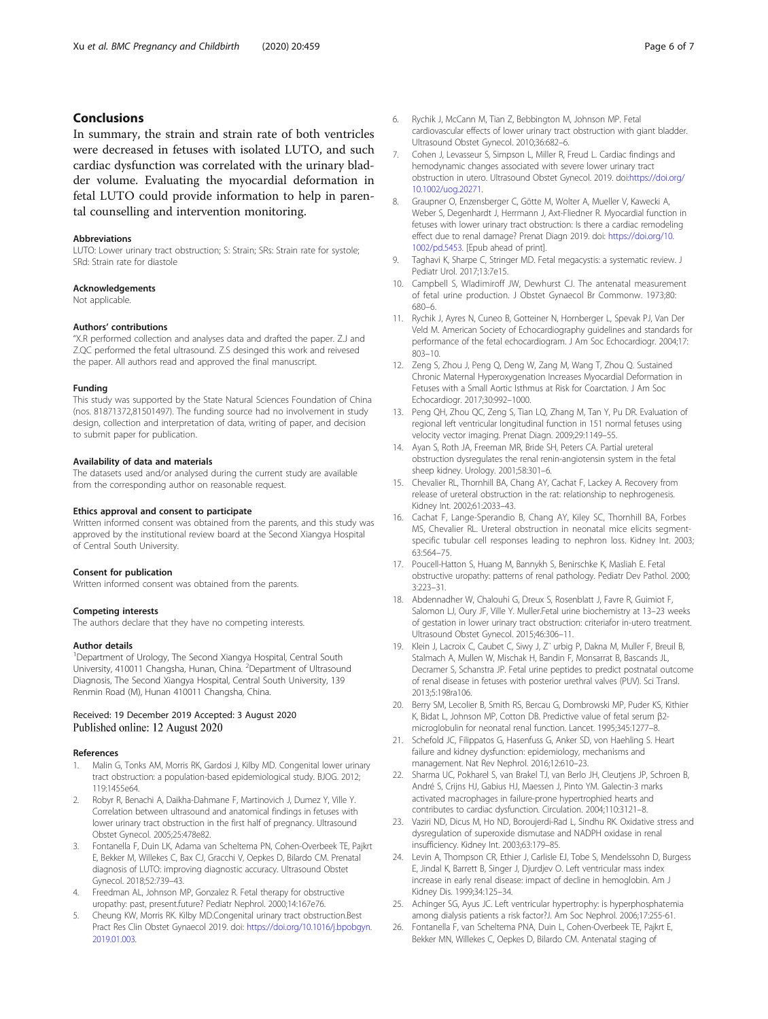# <span id="page-5-0"></span>Conclusions

In summary, the strain and strain rate of both ventricles were decreased in fetuses with isolated LUTO, and such cardiac dysfunction was correlated with the urinary bladder volume. Evaluating the myocardial deformation in fetal LUTO could provide information to help in parental counselling and intervention monitoring.

#### Abbreviations

LUTO: Lower urinary tract obstruction; S: Strain; SRs: Strain rate for systole; SRd: Strain rate for diastole

#### Acknowledgements

Not applicable.

#### Authors' contributions

"X.R performed collection and analyses data and drafted the paper. Z.J and Z.QC performed the fetal ultrasound. Z.S desinged this work and reivesed the paper. All authors read and approved the final manuscript.

#### Funding

This study was supported by the State Natural Sciences Foundation of China (nos. 81871372,81501497). The funding source had no involvement in study design, collection and interpretation of data, writing of paper, and decision to submit paper for publication.

#### Availability of data and materials

The datasets used and/or analysed during the current study are available from the corresponding author on reasonable request.

#### Ethics approval and consent to participate

Written informed consent was obtained from the parents, and this study was approved by the institutional review board at the Second Xiangya Hospital of Central South University.

#### Consent for publication

Written informed consent was obtained from the parents.

#### Competing interests

The authors declare that they have no competing interests.

#### Author details

<sup>1</sup>Department of Urology, The Second Xiangya Hospital, Central South University, 410011 Changsha, Hunan, China. <sup>2</sup>Department of Ultrasound Diagnosis, The Second Xiangya Hospital, Central South University, 139 Renmin Road (M), Hunan 410011 Changsha, China.

#### Received: 19 December 2019 Accepted: 3 August 2020 Published online: 12 August 2020

### References

- 1. Malin G, Tonks AM, Morris RK, Gardosi J, Kilby MD. Congenital lower urinary tract obstruction: a population-based epidemiological study. BJOG. 2012; 119:1455e64.
- 2. Robyr R, Benachi A, Daikha-Dahmane F, Martinovich J, Dumez Y, Ville Y. Correlation between ultrasound and anatomical findings in fetuses with lower urinary tract obstruction in the first half of pregnancy. Ultrasound Obstet Gynecol. 2005;25:478e82.
- 3. Fontanella F, Duin LK, Adama van Scheltema PN, Cohen-Overbeek TE, Pajkrt E, Bekker M, Willekes C, Bax CJ, Gracchi V, Oepkes D, Bilardo CM. Prenatal diagnosis of LUTO: improving diagnostic accuracy. Ultrasound Obstet Gynecol. 2018;52:739–43.
- 4. Freedman AL, Johnson MP, Gonzalez R. Fetal therapy for obstructive uropathy: past, present.future? Pediatr Nephrol. 2000;14:167e76.
- 5. Cheung KW, Morris RK. Kilby MD.Congenital urinary tract obstruction.Best Pract Res Clin Obstet Gynaecol 2019. doi: [https://doi.org/10.1016/j.bpobgyn.](https://doi.org/10.1016/j.bpobgyn.2019.01.003) [2019.01.003.](https://doi.org/10.1016/j.bpobgyn.2019.01.003)
- 6. Rychik J, McCann M, Tian Z, Bebbington M, Johnson MP. Fetal cardiovascular effects of lower urinary tract obstruction with giant bladder. Ultrasound Obstet Gynecol. 2010;36:682–6.
- 7. Cohen J, Levasseur S, Simpson L, Miller R, Freud L. Cardiac findings and hemodynamic changes associated with severe lower urinary tract obstruction in utero. Ultrasound Obstet Gynecol. 2019. doi[:https://doi.org/](https://doi.org/10.1002/uog.20271) [10.1002/uog.20271](https://doi.org/10.1002/uog.20271).
- 8. Graupner O, Enzensberger C, Götte M, Wolter A, Mueller V, Kawecki A, Weber S, Degenhardt J, Herrmann J, Axt-Fliedner R. Myocardial function in fetuses with lower urinary tract obstruction: Is there a cardiac remodeling effect due to renal damage? Prenat Diagn 2019. doi: [https://doi.org/10.](https://doi.org/10.1002/pd.5453) [1002/pd.5453](https://doi.org/10.1002/pd.5453). [Epub ahead of print].
- 9. Taghavi K, Sharpe C, Stringer MD. Fetal megacystis: a systematic review. J Pediatr Urol. 2017;13:7e15.
- 10. Campbell S, Wladimiroff JW, Dewhurst CJ. The antenatal measurement of fetal urine production. J Obstet Gynaecol Br Commonw. 1973;80: 680–6.
- 11. Rychik J, Ayres N, Cuneo B, Gotteiner N, Hornberger L, Spevak PJ, Van Der Veld M. American Society of Echocardiography guidelines and standards for performance of the fetal echocardiogram. J Am Soc Echocardiogr. 2004;17: 803–10.
- 12. Zeng S, Zhou J, Peng Q, Deng W, Zang M, Wang T, Zhou Q. Sustained Chronic Maternal Hyperoxygenation Increases Myocardial Deformation in Fetuses with a Small Aortic Isthmus at Risk for Coarctation. J Am Soc Echocardiogr. 2017;30:992–1000.
- 13. Peng QH, Zhou QC, Zeng S, Tian LQ, Zhang M, Tan Y, Pu DR. Evaluation of regional left ventricular longitudinal function in 151 normal fetuses using velocity vector imaging. Prenat Diagn. 2009;29:1149–55.
- 14. Ayan S, Roth JA, Freeman MR, Bride SH, Peters CA. Partial ureteral obstruction dysregulates the renal renin-angiotensin system in the fetal sheep kidney. Urology. 2001;58:301–6.
- 15. Chevalier RL, Thornhill BA, Chang AY, Cachat F, Lackey A. Recovery from release of ureteral obstruction in the rat: relationship to nephrogenesis. Kidney Int. 2002;61:2033–43.
- 16. Cachat F, Lange-Sperandio B, Chang AY, Kiley SC, Thornhill BA, Forbes MS, Chevalier RL. Ureteral obstruction in neonatal mice elicits segmentspecific tubular cell responses leading to nephron loss. Kidney Int. 2003; 63:564–75.
- 17. Poucell-Hatton S, Huang M, Bannykh S, Benirschke K, Masliah E. Fetal obstructive uropathy: patterns of renal pathology. Pediatr Dev Pathol. 2000; 3:223–31.
- 18. Abdennadher W, Chalouhi G, Dreux S, Rosenblatt J, Favre R, Guimiot F, Salomon LJ, Oury JF, Ville Y. Muller.Fetal urine biochemistry at 13–23 weeks of gestation in lower urinary tract obstruction: criteriafor in-utero treatment. Ultrasound Obstet Gynecol. 2015;46:306–11.
- 19. Klein J, Lacroix C, Caubet C, Siwy J, Z¨ urbig P, Dakna M, Muller F, Breuil B, Stalmach A, Mullen W, Mischak H, Bandin F, Monsarrat B, Bascands JL, Decramer S, Schanstra JP. Fetal urine peptides to predict postnatal outcome of renal disease in fetuses with posterior urethral valves (PUV). Sci Transl. 2013;5:198ra106.
- 20. Berry SM, Lecolier B, Smith RS, Bercau G, Dombrowski MP, Puder KS, Kithier K, Bidat L, Johnson MP, Cotton DB. Predictive value of fetal serum β2 microglobulin for neonatal renal function. Lancet. 1995;345:1277–8.
- 21. Schefold JC, Filippatos G, Hasenfuss G, Anker SD, von Haehling S. Heart failure and kidney dysfunction: epidemiology, mechanisms and management. Nat Rev Nephrol. 2016;12:610–23.
- 22. Sharma UC, Pokharel S, van Brakel TJ, van Berlo JH, Cleutjens JP, Schroen B, André S, Crijns HJ, Gabius HJ, Maessen J, Pinto YM. Galectin-3 marks activated macrophages in failure-prone hypertrophied hearts and contributes to cardiac dysfunction. Circulation. 2004;110:3121–8.
- 23. Vaziri ND, Dicus M, Ho ND, Boroujerdi-Rad L, Sindhu RK. Oxidative stress and dysregulation of superoxide dismutase and NADPH oxidase in renal insufficiency. Kidney Int. 2003;63:179–85.
- 24. Levin A, Thompson CR, Ethier J, Carlisle EJ, Tobe S, Mendelssohn D, Burgess E, Jindal K, Barrett B, Singer J, Djurdjev O. Left ventricular mass index increase in early renal disease: impact of decline in hemoglobin. Am J Kidney Dis. 1999;34:125–34.
- 25. Achinger SG, Ayus JC. Left ventricular hypertrophy: is hyperphosphatemia among dialysis patients a risk factor?J. Am Soc Nephrol. 2006;17:255-61.
- 26. Fontanella F, van Scheltema PNA, Duin L, Cohen-Overbeek TE, Pajkrt E, Bekker MN, Willekes C, Oepkes D, Bilardo CM. Antenatal staging of